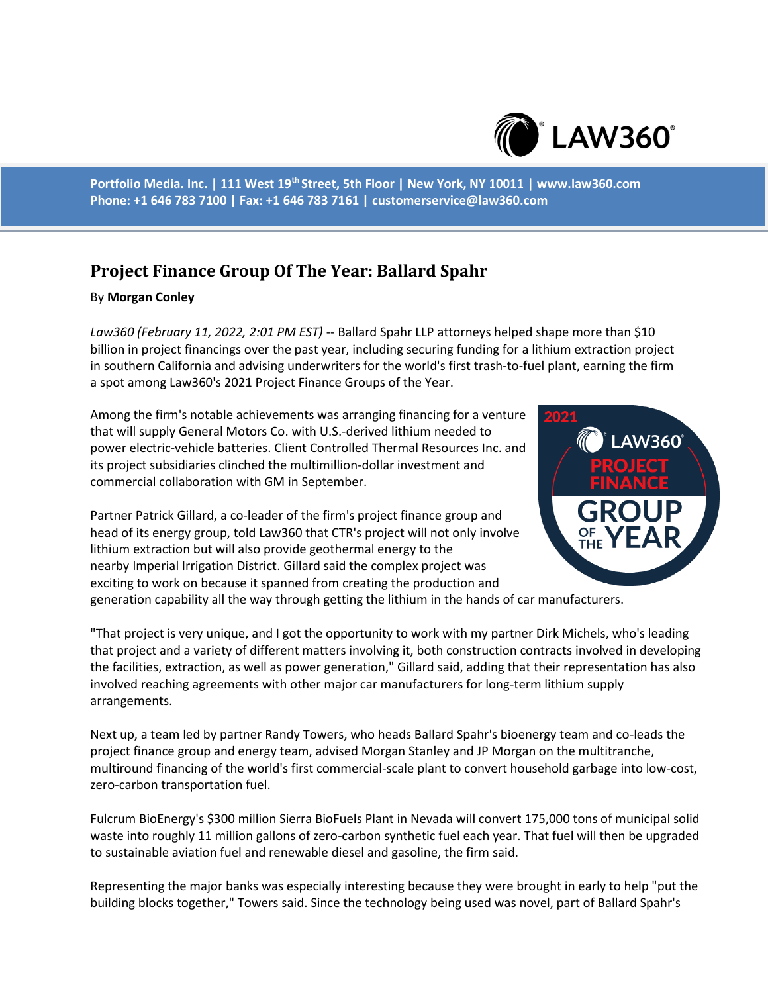

**Portfolio Media. Inc. | 111 West 19th Street, 5th Floor | New York, NY 10011 | www.law360.com Phone: +1 646 783 7100 | Fax: +1 646 783 7161 | customerservice@law360.com**

## **Project Finance Group Of The Year: Ballard Spahr**

## By **Morgan Conley**

*Law360 (February 11, 2022, 2:01 PM EST)* -- Ballard Spahr LLP attorneys helped shape more than \$10 billion in project financings over the past year, including securing funding for a lithium extraction project in southern California and advising underwriters for the world's first trash-to-fuel plant, earning the firm a spot among Law360's 2021 Project Finance Groups of the Year.

Among the firm's notable achievements was arranging financing for a venture that will supply General Motors Co. with U.S.-derived lithium needed to power electric-vehicle batteries. Client Controlled Thermal Resources Inc. and its project subsidiaries clinched the multimillion-dollar investment and commercial collaboration with GM in September.

Partner Patrick Gillard, a co-leader of the firm's project finance group and head of its energy group, told Law360 that CTR's project will not only involve lithium extraction but will also provide geothermal energy to the nearby Imperial Irrigation District. Gillard said the complex project was exciting to work on because it spanned from creating the production and



generation capability all the way through getting the lithium in the hands of car manufacturers.

"That project is very unique, and I got the opportunity to work with my partner Dirk Michels, who's leading that project and a variety of different matters involving it, both construction contracts involved in developing the facilities, extraction, as well as power generation," Gillard said, adding that their representation has also involved reaching agreements with other major car manufacturers for long-term lithium supply arrangements.

Next up, a team led by partner Randy Towers, who heads Ballard Spahr's bioenergy team and co-leads the project finance group and energy team, advised Morgan Stanley and JP Morgan on the multitranche, multiround financing of the world's first commercial-scale plant to convert household garbage into low-cost, zero-carbon transportation fuel.

Fulcrum BioEnergy's \$300 million Sierra BioFuels Plant in Nevada will convert 175,000 tons of municipal solid waste into roughly 11 million gallons of zero-carbon synthetic fuel each year. That fuel will then be upgraded to sustainable aviation fuel and renewable diesel and gasoline, the firm said.

Representing the major banks was especially interesting because they were brought in early to help "put the building blocks together," Towers said. Since the technology being used was novel, part of Ballard Spahr's